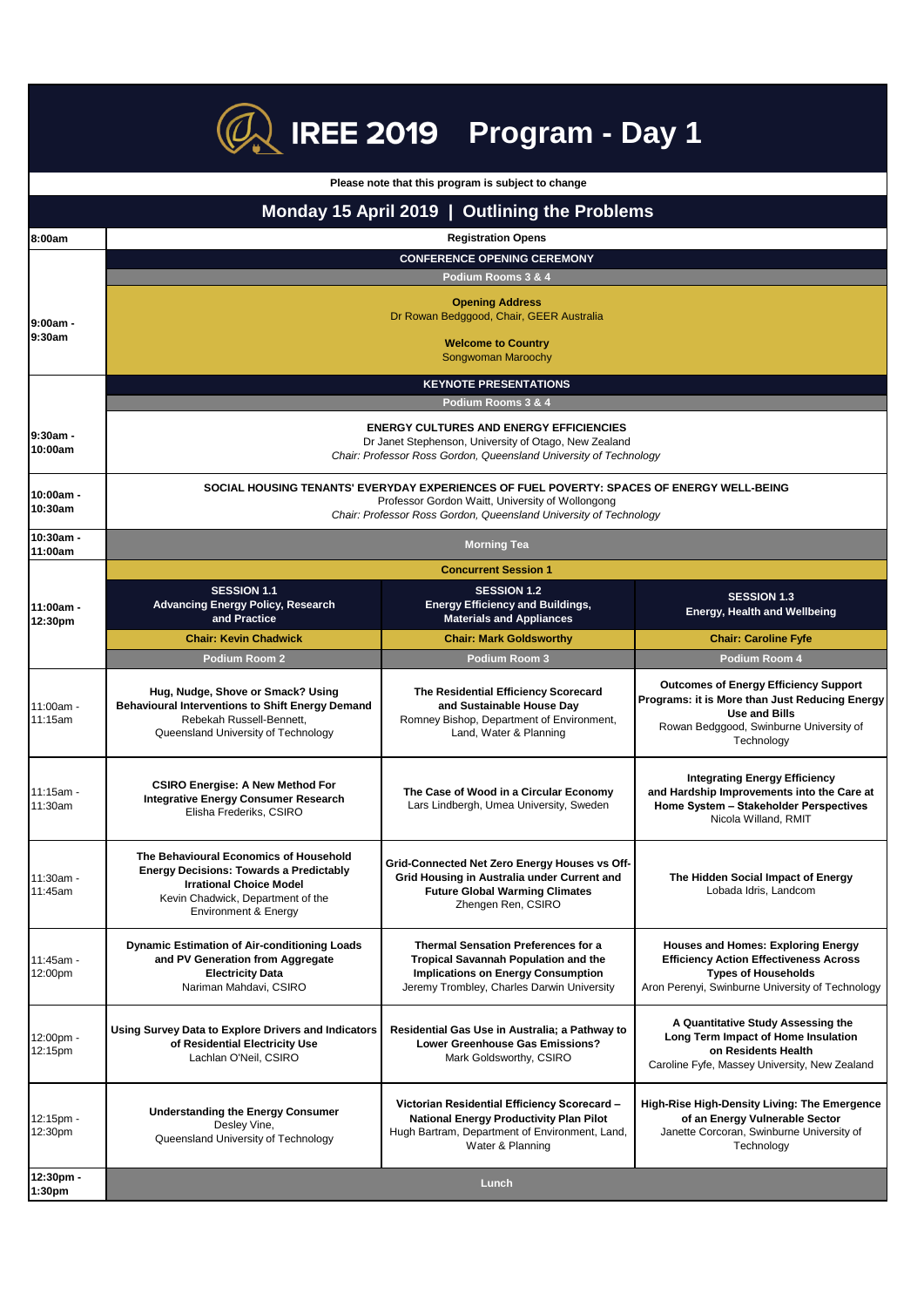

| Please note that this program is subject to change |                                                                                                                                                                                         |                                                                                                                                                                                      |                                                                                                                                                                                 |  |  |  |
|----------------------------------------------------|-----------------------------------------------------------------------------------------------------------------------------------------------------------------------------------------|--------------------------------------------------------------------------------------------------------------------------------------------------------------------------------------|---------------------------------------------------------------------------------------------------------------------------------------------------------------------------------|--|--|--|
|                                                    |                                                                                                                                                                                         | Monday 15 April 2019   Outlining the Problems                                                                                                                                        |                                                                                                                                                                                 |  |  |  |
| 8:00am                                             | <b>Registration Opens</b>                                                                                                                                                               |                                                                                                                                                                                      |                                                                                                                                                                                 |  |  |  |
|                                                    | <b>CONFERENCE OPENING CEREMONY</b>                                                                                                                                                      |                                                                                                                                                                                      |                                                                                                                                                                                 |  |  |  |
|                                                    | Podium Rooms 3 & 4                                                                                                                                                                      |                                                                                                                                                                                      |                                                                                                                                                                                 |  |  |  |
| 9:00am -<br>9:30am                                 | <b>Opening Address</b><br>Dr Rowan Bedggood, Chair, GEER Australia                                                                                                                      |                                                                                                                                                                                      |                                                                                                                                                                                 |  |  |  |
|                                                    | <b>Welcome to Country</b><br>Songwoman Maroochy                                                                                                                                         |                                                                                                                                                                                      |                                                                                                                                                                                 |  |  |  |
|                                                    | <b>KEYNOTE PRESENTATIONS</b><br>Podium Rooms 3 & 4                                                                                                                                      |                                                                                                                                                                                      |                                                                                                                                                                                 |  |  |  |
|                                                    | <b>ENERGY CULTURES AND ENERGY EFFICIENCIES</b>                                                                                                                                          |                                                                                                                                                                                      |                                                                                                                                                                                 |  |  |  |
| 9:30am -<br>10:00am                                | Dr Janet Stephenson, University of Otago, New Zealand<br>Chair: Professor Ross Gordon, Queensland University of Technology                                                              |                                                                                                                                                                                      |                                                                                                                                                                                 |  |  |  |
| 10:00am -                                          | SOCIAL HOUSING TENANTS' EVERYDAY EXPERIENCES OF FUEL POVERTY: SPACES OF ENERGY WELL-BEING                                                                                               |                                                                                                                                                                                      |                                                                                                                                                                                 |  |  |  |
| 10:30am                                            | Professor Gordon Waitt, University of Wollongong<br>Chair: Professor Ross Gordon, Queensland University of Technology                                                                   |                                                                                                                                                                                      |                                                                                                                                                                                 |  |  |  |
| 10:30am -<br>11:00am                               | <b>Morning Tea</b>                                                                                                                                                                      |                                                                                                                                                                                      |                                                                                                                                                                                 |  |  |  |
|                                                    |                                                                                                                                                                                         | <b>Concurrent Session 1</b>                                                                                                                                                          |                                                                                                                                                                                 |  |  |  |
| 11:00am -<br>12:30pm                               | <b>SESSION 1.1</b><br><b>Advancing Energy Policy, Research</b><br>and Practice                                                                                                          | <b>SESSION 1.2</b><br><b>Energy Efficiency and Buildings,</b><br><b>Materials and Appliances</b>                                                                                     | <b>SESSION 1.3</b><br><b>Energy, Health and Wellbeing</b>                                                                                                                       |  |  |  |
|                                                    | <b>Chair: Kevin Chadwick</b>                                                                                                                                                            | <b>Chair: Mark Goldsworthy</b>                                                                                                                                                       | <b>Chair: Caroline Fyfe</b>                                                                                                                                                     |  |  |  |
|                                                    | Podium Room 2                                                                                                                                                                           | Podium Room 3                                                                                                                                                                        | Podium Room 4                                                                                                                                                                   |  |  |  |
| 11:00am -<br>11:15am                               | Hug, Nudge, Shove or Smack? Using<br><b>Behavioural Interventions to Shift Energy Demand</b><br>Rebekah Russell-Bennett,<br>Queensland University of Technology                         | The Residential Efficiency Scorecard<br>and Sustainable House Day<br>Romney Bishop, Department of Environment,<br>Land, Water & Planning                                             | <b>Outcomes of Energy Efficiency Support</b><br>Programs: it is More than Just Reducing Energy<br><b>Use and Bills</b><br>Rowan Bedggood, Swinburne University of<br>Technology |  |  |  |
| 11:15am -<br>11:30am                               | <b>CSIRO Energise: A New Method For</b><br><b>Integrative Energy Consumer Research</b><br>Elisha Frederiks, CSIRO                                                                       | The Case of Wood in a Circular Economy<br>Lars Lindbergh, Umea University, Sweden                                                                                                    | <b>Integrating Energy Efficiency</b><br>and Hardship Improvements into the Care at<br>Home System - Stakeholder Perspectives<br>Nicola Willand, RMIT                            |  |  |  |
| 11:30am -<br>11:45am                               | The Behavioural Economics of Household<br><b>Energy Decisions: Towards a Predictably</b><br><b>Irrational Choice Model</b><br>Kevin Chadwick, Department of the<br>Environment & Energy | Grid-Connected Net Zero Energy Houses vs Off-<br>Grid Housing in Australia under Current and<br><b>Future Global Warming Climates</b><br>Zhengen Ren, CSIRO                          | The Hidden Social Impact of Energy<br>Lobada Idris, Landcom                                                                                                                     |  |  |  |
| 11:45am -<br>12:00pm                               | <b>Dynamic Estimation of Air-conditioning Loads</b><br>and PV Generation from Aggregate<br>Electricity Data<br>Nariman Mahdavi, CSIRO                                                   | <b>Thermal Sensation Preferences for a</b><br><b>Tropical Savannah Population and the</b><br><b>Implications on Energy Consumption</b><br>Jeremy Trombley, Charles Darwin University | <b>Houses and Homes: Exploring Energy</b><br><b>Efficiency Action Effectiveness Across</b><br><b>Types of Households</b><br>Aron Perenyi, Swinburne University of Technology    |  |  |  |
| 12:00pm -<br>12:15pm                               | Using Survey Data to Explore Drivers and Indicators<br>of Residential Electricity Use<br>Lachlan O'Neil, CSIRO                                                                          | Residential Gas Use in Australia; a Pathway to<br><b>Lower Greenhouse Gas Emissions?</b><br>Mark Goldsworthy, CSIRO                                                                  | A Quantitative Study Assessing the<br>Long Term Impact of Home Insulation<br>on Residents Health<br>Caroline Fyfe, Massey University, New Zealand                               |  |  |  |
| 12:15pm -<br>12:30pm                               | <b>Understanding the Energy Consumer</b><br>Desley Vine,<br>Queensland University of Technology                                                                                         | Victorian Residential Efficiency Scorecard -<br><b>National Energy Productivity Plan Pilot</b><br>Hugh Bartram, Department of Environment, Land,<br>Water & Planning                 | High-Rise High-Density Living: The Emergence<br>of an Energy Vulnerable Sector<br>Janette Corcoran, Swinburne University of<br>Technology                                       |  |  |  |
| 12:30pm -<br>1:30pm                                |                                                                                                                                                                                         | Lunch                                                                                                                                                                                |                                                                                                                                                                                 |  |  |  |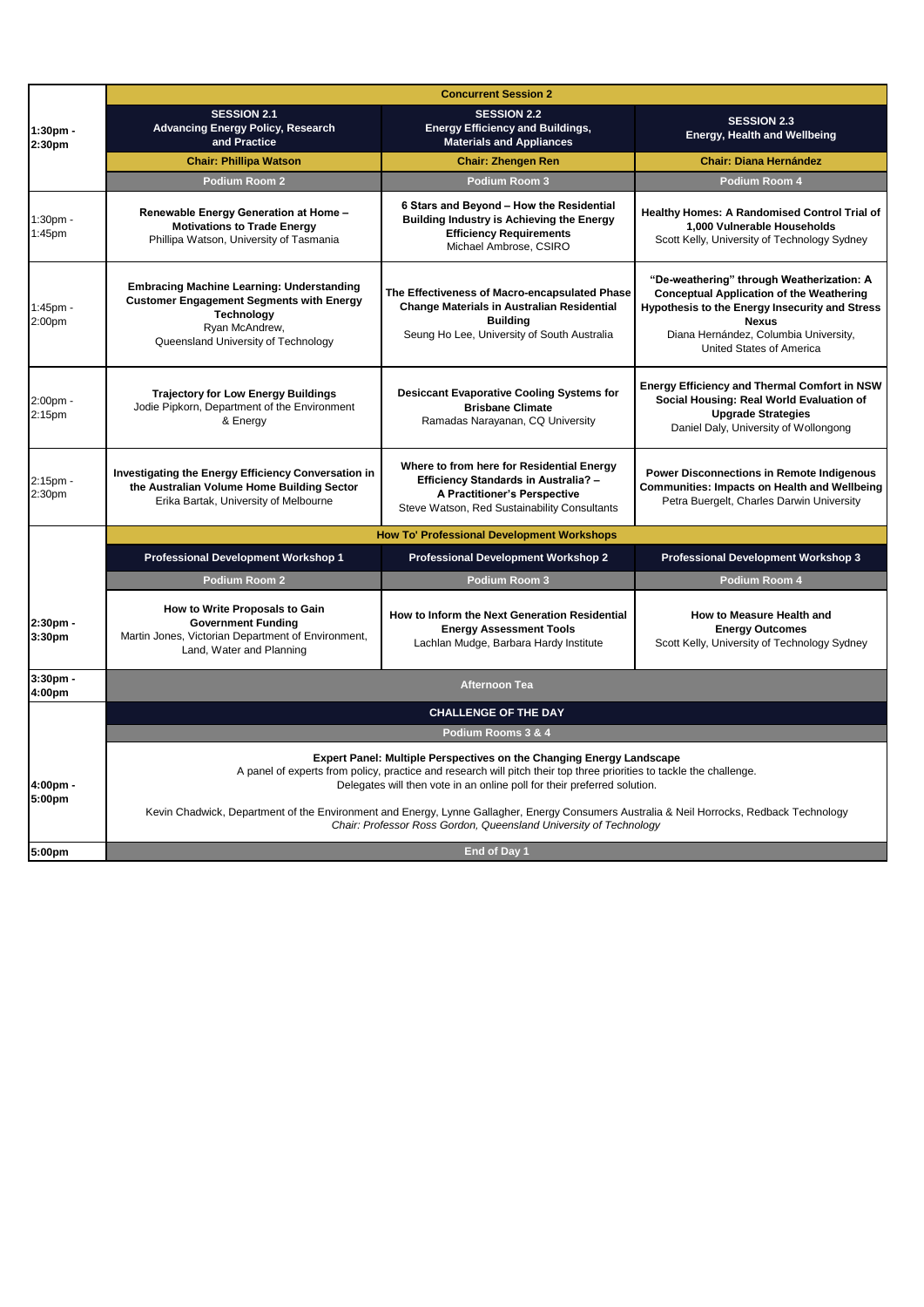|                                | <b>Concurrent Session 2</b>                                                                                                                                                                                                                                              |                                                                                                                                                                      |                                                                                                                                                                                                                                     |  |  |  |
|--------------------------------|--------------------------------------------------------------------------------------------------------------------------------------------------------------------------------------------------------------------------------------------------------------------------|----------------------------------------------------------------------------------------------------------------------------------------------------------------------|-------------------------------------------------------------------------------------------------------------------------------------------------------------------------------------------------------------------------------------|--|--|--|
| 1:30pm -<br>2:30pm             | <b>SESSION 2.1</b><br><b>Advancing Energy Policy, Research</b><br>and Practice                                                                                                                                                                                           | <b>SESSION 2.2</b><br><b>Energy Efficiency and Buildings,</b><br><b>Materials and Appliances</b>                                                                     | <b>SESSION 2.3</b><br>Energy, Health and Wellbeing                                                                                                                                                                                  |  |  |  |
|                                | <b>Chair: Phillipa Watson</b>                                                                                                                                                                                                                                            | <b>Chair: Zhengen Ren</b>                                                                                                                                            | <b>Chair: Diana Hernández</b>                                                                                                                                                                                                       |  |  |  |
|                                | Podium Room 2                                                                                                                                                                                                                                                            | Podium Room 3                                                                                                                                                        | Podium Room 4                                                                                                                                                                                                                       |  |  |  |
| 1:30pm -<br>1:45pm             | Renewable Energy Generation at Home -<br><b>Motivations to Trade Energy</b><br>Phillipa Watson, University of Tasmania                                                                                                                                                   | 6 Stars and Beyond - How the Residential<br><b>Building Industry is Achieving the Energy</b><br><b>Efficiency Requirements</b><br>Michael Ambrose, CSIRO             | Healthy Homes: A Randomised Control Trial of<br>1,000 Vulnerable Households<br>Scott Kelly, University of Technology Sydney                                                                                                         |  |  |  |
| 1:45pm -<br>2:00pm             | <b>Embracing Machine Learning: Understanding</b><br><b>Customer Engagement Segments with Energy</b><br><b>Technology</b><br>Ryan McAndrew,<br>Queensland University of Technology                                                                                        | The Effectiveness of Macro-encapsulated Phase<br><b>Change Materials in Australian Residential</b><br><b>Building</b><br>Seung Ho Lee, University of South Australia | "De-weathering" through Weatherization: A<br><b>Conceptual Application of the Weathering</b><br>Hypothesis to the Energy Insecurity and Stress<br><b>Nexus</b><br>Diana Hernández, Columbia University,<br>United States of America |  |  |  |
| 2:00pm -<br>2:15 <sub>pm</sub> | <b>Trajectory for Low Energy Buildings</b><br>Jodie Pipkorn, Department of the Environment<br>& Energy                                                                                                                                                                   | <b>Desiccant Evaporative Cooling Systems for</b><br><b>Brisbane Climate</b><br>Ramadas Narayanan, CQ University                                                      | <b>Energy Efficiency and Thermal Comfort in NSW</b><br>Social Housing: Real World Evaluation of<br><b>Upgrade Strategies</b><br>Daniel Daly, University of Wollongong                                                               |  |  |  |
| 2:15pm -<br>2:30pm             | Investigating the Energy Efficiency Conversation in<br>the Australian Volume Home Building Sector<br>Erika Bartak, University of Melbourne                                                                                                                               | Where to from here for Residential Energy<br>Efficiency Standards in Australia? -<br>A Practitioner's Perspective<br>Steve Watson, Red Sustainability Consultants    | <b>Power Disconnections in Remote Indigenous</b><br><b>Communities: Impacts on Health and Wellbeing</b><br>Petra Buergelt, Charles Darwin University                                                                                |  |  |  |
|                                | How To' Professional Development Workshops                                                                                                                                                                                                                               |                                                                                                                                                                      |                                                                                                                                                                                                                                     |  |  |  |
|                                | Professional Development Workshop 1                                                                                                                                                                                                                                      | <b>Professional Development Workshop 2</b>                                                                                                                           | <b>Professional Development Workshop 3</b>                                                                                                                                                                                          |  |  |  |
|                                | Podium Room 2                                                                                                                                                                                                                                                            | Podium Room 3                                                                                                                                                        | Podium Room 4                                                                                                                                                                                                                       |  |  |  |
| 2:30pm -<br>3:30pm             | How to Write Proposals to Gain<br><b>Government Funding</b><br>Martin Jones, Victorian Department of Environment,<br>Land, Water and Planning                                                                                                                            | How to Inform the Next Generation Residential<br><b>Energy Assessment Tools</b><br>Lachlan Mudge, Barbara Hardy Institute                                            | How to Measure Health and<br><b>Energy Outcomes</b><br>Scott Kelly, University of Technology Sydney                                                                                                                                 |  |  |  |
| 3:30pm -<br>4:00pm             | <b>Afternoon Tea</b>                                                                                                                                                                                                                                                     |                                                                                                                                                                      |                                                                                                                                                                                                                                     |  |  |  |
|                                | <b>CHALLENGE OF THE DAY</b>                                                                                                                                                                                                                                              |                                                                                                                                                                      |                                                                                                                                                                                                                                     |  |  |  |
|                                | Podium Rooms 3 & 4                                                                                                                                                                                                                                                       |                                                                                                                                                                      |                                                                                                                                                                                                                                     |  |  |  |
| 4:00pm -<br>5:00pm             | Expert Panel: Multiple Perspectives on the Changing Energy Landscape<br>A panel of experts from policy, practice and research will pitch their top three priorities to tackle the challenge.<br>Delegates will then vote in an online poll for their preferred solution. |                                                                                                                                                                      |                                                                                                                                                                                                                                     |  |  |  |
|                                | Kevin Chadwick, Department of the Environment and Energy, Lynne Gallagher, Energy Consumers Australia & Neil Horrocks, Redback Technology<br>Chair: Professor Ross Gordon, Queensland University of Technology                                                           |                                                                                                                                                                      |                                                                                                                                                                                                                                     |  |  |  |
| 5:00pm                         | End of Day 1                                                                                                                                                                                                                                                             |                                                                                                                                                                      |                                                                                                                                                                                                                                     |  |  |  |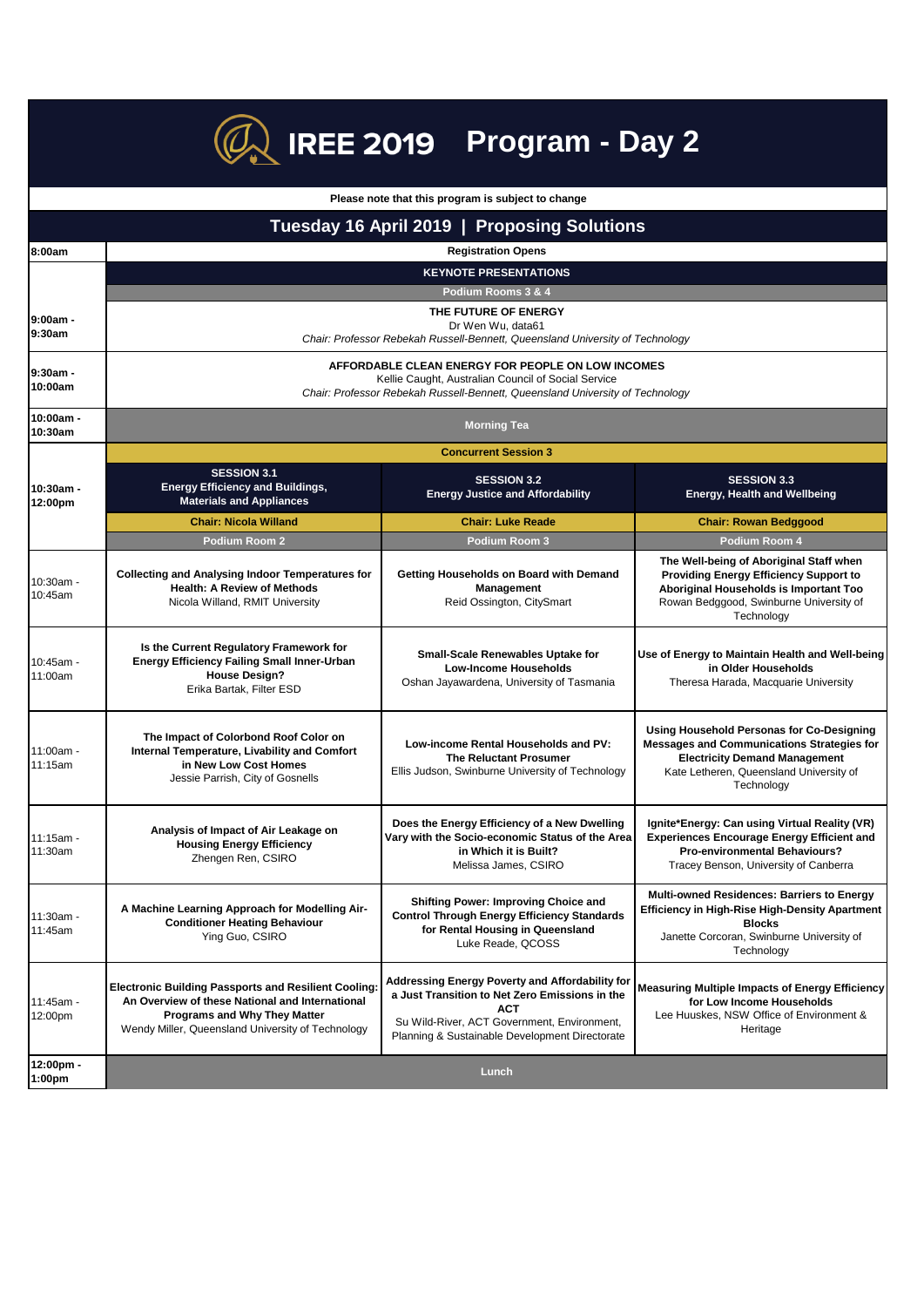## **Program - Day 2**

|                                 |                                                                                                                                                                                                            | Please note that this program is subject to change                                                                                                                                                        |                                                                                                                                                                                                 |  |  |  |
|---------------------------------|------------------------------------------------------------------------------------------------------------------------------------------------------------------------------------------------------------|-----------------------------------------------------------------------------------------------------------------------------------------------------------------------------------------------------------|-------------------------------------------------------------------------------------------------------------------------------------------------------------------------------------------------|--|--|--|
|                                 |                                                                                                                                                                                                            | Tuesday 16 April 2019   Proposing Solutions                                                                                                                                                               |                                                                                                                                                                                                 |  |  |  |
| 8:00am                          | <b>Registration Opens</b>                                                                                                                                                                                  |                                                                                                                                                                                                           |                                                                                                                                                                                                 |  |  |  |
|                                 | <b>KEYNOTE PRESENTATIONS</b>                                                                                                                                                                               |                                                                                                                                                                                                           |                                                                                                                                                                                                 |  |  |  |
|                                 | Podium Rooms 3 & 4                                                                                                                                                                                         |                                                                                                                                                                                                           |                                                                                                                                                                                                 |  |  |  |
|                                 |                                                                                                                                                                                                            | THE FUTURE OF ENERGY                                                                                                                                                                                      |                                                                                                                                                                                                 |  |  |  |
| $9:00am -$<br>9:30am            |                                                                                                                                                                                                            | Dr Wen Wu, data61                                                                                                                                                                                         |                                                                                                                                                                                                 |  |  |  |
|                                 | Chair: Professor Rebekah Russell-Bennett, Queensland University of Technology                                                                                                                              |                                                                                                                                                                                                           |                                                                                                                                                                                                 |  |  |  |
| $9:30am -$                      | <b>AFFORDABLE CLEAN ENERGY FOR PEOPLE ON LOW INCOMES</b><br>Kellie Caught, Australian Council of Social Service                                                                                            |                                                                                                                                                                                                           |                                                                                                                                                                                                 |  |  |  |
| 10:00am                         | Chair: Professor Rebekah Russell-Bennett, Queensland University of Technology                                                                                                                              |                                                                                                                                                                                                           |                                                                                                                                                                                                 |  |  |  |
| 10:00am -<br>10:30am            | <b>Morning Tea</b>                                                                                                                                                                                         |                                                                                                                                                                                                           |                                                                                                                                                                                                 |  |  |  |
|                                 |                                                                                                                                                                                                            | <b>Concurrent Session 3</b>                                                                                                                                                                               |                                                                                                                                                                                                 |  |  |  |
|                                 | <b>SESSION 3.1</b>                                                                                                                                                                                         | <b>SESSION 3.2</b>                                                                                                                                                                                        | <b>SESSION 3.3</b>                                                                                                                                                                              |  |  |  |
| 10:30am -<br>12:00pm            | <b>Energy Efficiency and Buildings,</b><br><b>Materials and Appliances</b>                                                                                                                                 | <b>Energy Justice and Affordability</b>                                                                                                                                                                   | <b>Energy, Health and Wellbeing</b>                                                                                                                                                             |  |  |  |
|                                 | <b>Chair: Nicola Willand</b>                                                                                                                                                                               | <b>Chair: Luke Reade</b>                                                                                                                                                                                  | <b>Chair: Rowan Bedggood</b>                                                                                                                                                                    |  |  |  |
|                                 | Podium Room 2                                                                                                                                                                                              | Podium Room 3                                                                                                                                                                                             | Podium Room 4                                                                                                                                                                                   |  |  |  |
| 10:30am -<br>10:45am            | <b>Collecting and Analysing Indoor Temperatures for</b><br><b>Health: A Review of Methods</b><br>Nicola Willand, RMIT University                                                                           | Getting Households on Board with Demand<br>Management<br>Reid Ossington, CitySmart                                                                                                                        | The Well-being of Aboriginal Staff when<br><b>Providing Energy Efficiency Support to</b><br>Aboriginal Households is Important Too<br>Rowan Bedggood, Swinburne University of<br>Technology     |  |  |  |
| 10:45am -<br>11:00am            | Is the Current Regulatory Framework for<br><b>Energy Efficiency Failing Small Inner-Urban</b><br><b>House Design?</b><br>Erika Bartak, Filter ESD                                                          | Small-Scale Renewables Uptake for<br><b>Low-Income Households</b><br>Oshan Jayawardena, University of Tasmania                                                                                            | Use of Energy to Maintain Health and Well-being<br>in Older Households<br>Theresa Harada, Macquarie University                                                                                  |  |  |  |
| 11:00am -<br>11:15am            | The Impact of Colorbond Roof Color on<br>Internal Temperature, Livability and Comfort<br>in New Low Cost Homes<br>Jessie Parrish, City of Gosnells                                                         | Low-income Rental Households and PV:<br><b>The Reluctant Prosumer</b><br>Ellis Judson, Swinburne University of Technology                                                                                 | Using Household Personas for Co-Designing<br><b>Messages and Communications Strategies for</b><br><b>Electricity Demand Management</b><br>Kate Letheren, Queensland University of<br>Technology |  |  |  |
| $11:15am -$<br>11:30am          | Analysis of Impact of Air Leakage on<br><b>Housing Energy Efficiency</b><br>Zhengen Ren, CSIRO                                                                                                             | Does the Energy Efficiency of a New Dwelling<br>Vary with the Socio-economic Status of the Area<br>in Which it is Built?<br>Melissa James, CSIRO                                                          | Ignite*Energy: Can using Virtual Reality (VR)<br><b>Experiences Encourage Energy Efficient and</b><br>Pro-environmental Behaviours?<br>Tracey Benson, University of Canberra                    |  |  |  |
| $11:30am -$<br>11:45am          | A Machine Learning Approach for Modelling Air-<br><b>Conditioner Heating Behaviour</b><br>Ying Guo, CSIRO                                                                                                  | <b>Shifting Power: Improving Choice and</b><br><b>Control Through Energy Efficiency Standards</b><br>for Rental Housing in Queensland<br>Luke Reade, QCOSS                                                | <b>Multi-owned Residences: Barriers to Energy</b><br><b>Efficiency in High-Rise High-Density Apartment</b><br><b>Blocks</b><br>Janette Corcoran, Swinburne University of<br>Technology          |  |  |  |
| 11:45am -<br>12:00pm            | <b>Electronic Building Passports and Resilient Cooling:</b><br>An Overview of these National and International<br><b>Programs and Why They Matter</b><br>Wendy Miller, Queensland University of Technology | Addressing Energy Poverty and Affordability for<br>a Just Transition to Net Zero Emissions in the<br>АСТ<br>Su Wild-River, ACT Government, Environment,<br>Planning & Sustainable Development Directorate | <b>Measuring Multiple Impacts of Energy Efficiency</b><br>for Low Income Households<br>Lee Huuskes, NSW Office of Environment &<br>Heritage                                                     |  |  |  |
| 12:00pm -<br>1:00 <sub>pm</sub> |                                                                                                                                                                                                            | Lunch                                                                                                                                                                                                     |                                                                                                                                                                                                 |  |  |  |